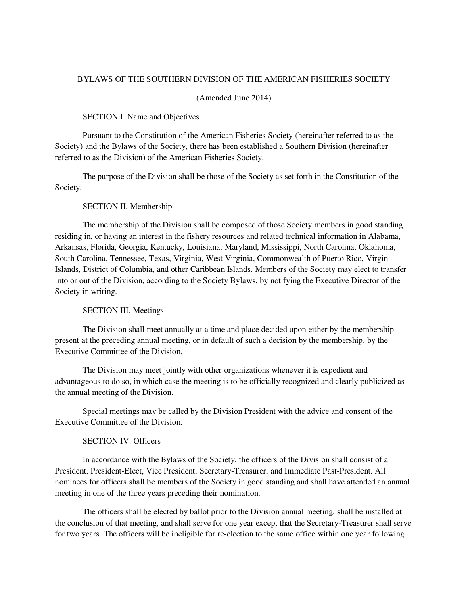### BYLAWS OF THE SOUTHERN DIVISION OF THE AMERICAN FISHERIES SOCIETY

#### (Amended June 2014)

#### SECTION I. Name and Objectives

 Pursuant to the Constitution of the American Fisheries Society (hereinafter referred to as the Society) and the Bylaws of the Society, there has been established a Southern Division (hereinafter referred to as the Division) of the American Fisheries Society.

 The purpose of the Division shall be those of the Society as set forth in the Constitution of the Society.

#### SECTION II. Membership

 The membership of the Division shall be composed of those Society members in good standing residing in, or having an interest in the fishery resources and related technical information in Alabama, Arkansas, Florida, Georgia, Kentucky, Louisiana, Maryland, Mississippi, North Carolina, Oklahoma, South Carolina, Tennessee, Texas, Virginia, West Virginia, Commonwealth of Puerto Rico, Virgin Islands, District of Columbia, and other Caribbean Islands. Members of the Society may elect to transfer into or out of the Division, according to the Society Bylaws, by notifying the Executive Director of the Society in writing.

#### SECTION III. Meetings

 The Division shall meet annually at a time and place decided upon either by the membership present at the preceding annual meeting, or in default of such a decision by the membership, by the Executive Committee of the Division.

 The Division may meet jointly with other organizations whenever it is expedient and advantageous to do so, in which case the meeting is to be officially recognized and clearly publicized as the annual meeting of the Division.

 Special meetings may be called by the Division President with the advice and consent of the Executive Committee of the Division.

## SECTION IV. Officers

 In accordance with the Bylaws of the Society, the officers of the Division shall consist of a President, President-Elect, Vice President, Secretary-Treasurer, and Immediate Past-President. All nominees for officers shall be members of the Society in good standing and shall have attended an annual meeting in one of the three years preceding their nomination.

The officers shall be elected by ballot prior to the Division annual meeting, shall be installed at the conclusion of that meeting, and shall serve for one year except that the Secretary-Treasurer shall serve for two years. The officers will be ineligible for re-election to the same office within one year following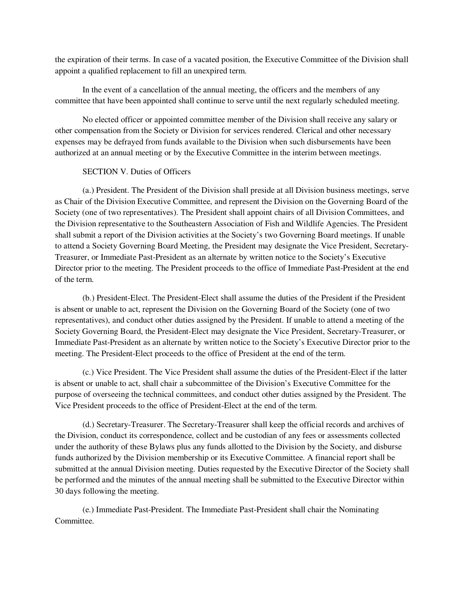the expiration of their terms. In case of a vacated position, the Executive Committee of the Division shall appoint a qualified replacement to fill an unexpired term.

In the event of a cancellation of the annual meeting, the officers and the members of any committee that have been appointed shall continue to serve until the next regularly scheduled meeting.

No elected officer or appointed committee member of the Division shall receive any salary or other compensation from the Society or Division for services rendered. Clerical and other necessary expenses may be defrayed from funds available to the Division when such disbursements have been authorized at an annual meeting or by the Executive Committee in the interim between meetings.

## SECTION V. Duties of Officers

(a.) President. The President of the Division shall preside at all Division business meetings, serve as Chair of the Division Executive Committee, and represent the Division on the Governing Board of the Society (one of two representatives). The President shall appoint chairs of all Division Committees, and the Division representative to the Southeastern Association of Fish and Wildlife Agencies. The President shall submit a report of the Division activities at the Society's two Governing Board meetings. If unable to attend a Society Governing Board Meeting, the President may designate the Vice President, Secretary-Treasurer, or Immediate Past-President as an alternate by written notice to the Society's Executive Director prior to the meeting. The President proceeds to the office of Immediate Past-President at the end of the term.

(b.) President-Elect. The President-Elect shall assume the duties of the President if the President is absent or unable to act, represent the Division on the Governing Board of the Society (one of two representatives), and conduct other duties assigned by the President. If unable to attend a meeting of the Society Governing Board, the President-Elect may designate the Vice President, Secretary-Treasurer, or Immediate Past-President as an alternate by written notice to the Society's Executive Director prior to the meeting. The President-Elect proceeds to the office of President at the end of the term.

(c.) Vice President. The Vice President shall assume the duties of the President-Elect if the latter is absent or unable to act, shall chair a subcommittee of the Division's Executive Committee for the purpose of overseeing the technical committees, and conduct other duties assigned by the President. The Vice President proceeds to the office of President-Elect at the end of the term.

(d.) Secretary-Treasurer. The Secretary-Treasurer shall keep the official records and archives of the Division, conduct its correspondence, collect and be custodian of any fees or assessments collected under the authority of these Bylaws plus any funds allotted to the Division by the Society, and disburse funds authorized by the Division membership or its Executive Committee. A financial report shall be submitted at the annual Division meeting. Duties requested by the Executive Director of the Society shall be performed and the minutes of the annual meeting shall be submitted to the Executive Director within 30 days following the meeting.

(e.) Immediate Past-President. The Immediate Past-President shall chair the Nominating Committee.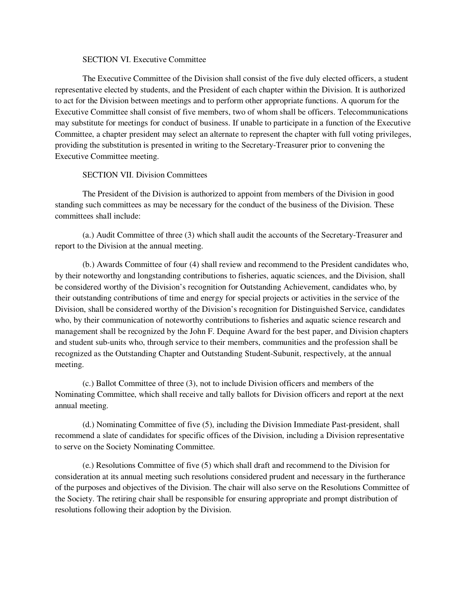## SECTION VI. Executive Committee

The Executive Committee of the Division shall consist of the five duly elected officers, a student representative elected by students, and the President of each chapter within the Division. It is authorized to act for the Division between meetings and to perform other appropriate functions. A quorum for the Executive Committee shall consist of five members, two of whom shall be officers. Telecommunications may substitute for meetings for conduct of business. If unable to participate in a function of the Executive Committee, a chapter president may select an alternate to represent the chapter with full voting privileges, providing the substitution is presented in writing to the Secretary-Treasurer prior to convening the Executive Committee meeting.

### SECTION VII. Division Committees

The President of the Division is authorized to appoint from members of the Division in good standing such committees as may be necessary for the conduct of the business of the Division. These committees shall include:

(a.) Audit Committee of three (3) which shall audit the accounts of the Secretary-Treasurer and report to the Division at the annual meeting.

(b.) Awards Committee of four (4) shall review and recommend to the President candidates who, by their noteworthy and longstanding contributions to fisheries, aquatic sciences, and the Division, shall be considered worthy of the Division's recognition for Outstanding Achievement, candidates who, by their outstanding contributions of time and energy for special projects or activities in the service of the Division, shall be considered worthy of the Division's recognition for Distinguished Service, candidates who, by their communication of noteworthy contributions to fisheries and aquatic science research and management shall be recognized by the John F. Dequine Award for the best paper, and Division chapters and student sub-units who, through service to their members, communities and the profession shall be recognized as the Outstanding Chapter and Outstanding Student-Subunit, respectively, at the annual meeting.

(c.) Ballot Committee of three (3), not to include Division officers and members of the Nominating Committee, which shall receive and tally ballots for Division officers and report at the next annual meeting.

(d.) Nominating Committee of five (5), including the Division Immediate Past-president, shall recommend a slate of candidates for specific offices of the Division, including a Division representative to serve on the Society Nominating Committee.

(e.) Resolutions Committee of five (5) which shall draft and recommend to the Division for consideration at its annual meeting such resolutions considered prudent and necessary in the furtherance of the purposes and objectives of the Division. The chair will also serve on the Resolutions Committee of the Society. The retiring chair shall be responsible for ensuring appropriate and prompt distribution of resolutions following their adoption by the Division.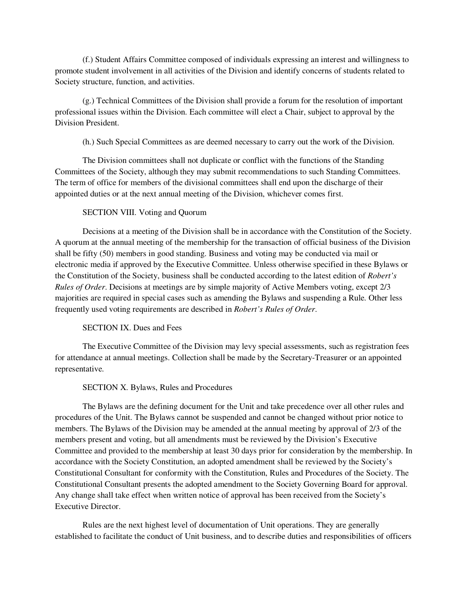(f.) Student Affairs Committee composed of individuals expressing an interest and willingness to promote student involvement in all activities of the Division and identify concerns of students related to Society structure, function, and activities.

(g.) Technical Committees of the Division shall provide a forum for the resolution of important professional issues within the Division. Each committee will elect a Chair, subject to approval by the Division President.

(h.) Such Special Committees as are deemed necessary to carry out the work of the Division.

The Division committees shall not duplicate or conflict with the functions of the Standing Committees of the Society, although they may submit recommendations to such Standing Committees. The term of office for members of the divisional committees shall end upon the discharge of their appointed duties or at the next annual meeting of the Division, whichever comes first.

## SECTION VIII. Voting and Quorum

Decisions at a meeting of the Division shall be in accordance with the Constitution of the Society. A quorum at the annual meeting of the membership for the transaction of official business of the Division shall be fifty (50) members in good standing. Business and voting may be conducted via mail or electronic media if approved by the Executive Committee. Unless otherwise specified in these Bylaws or the Constitution of the Society, business shall be conducted according to the latest edition of *Robert's Rules of Order*. Decisions at meetings are by simple majority of Active Members voting, except 2/3 majorities are required in special cases such as amending the Bylaws and suspending a Rule. Other less frequently used voting requirements are described in *Robert's Rules of Order*.

## SECTION IX. Dues and Fees

The Executive Committee of the Division may levy special assessments, such as registration fees for attendance at annual meetings. Collection shall be made by the Secretary-Treasurer or an appointed representative.

### SECTION X. Bylaws, Rules and Procedures

The Bylaws are the defining document for the Unit and take precedence over all other rules and procedures of the Unit. The Bylaws cannot be suspended and cannot be changed without prior notice to members. The Bylaws of the Division may be amended at the annual meeting by approval of 2/3 of the members present and voting, but all amendments must be reviewed by the Division's Executive Committee and provided to the membership at least 30 days prior for consideration by the membership. In accordance with the Society Constitution, an adopted amendment shall be reviewed by the Society's Constitutional Consultant for conformity with the Constitution, Rules and Procedures of the Society. The Constitutional Consultant presents the adopted amendment to the Society Governing Board for approval. Any change shall take effect when written notice of approval has been received from the Society's Executive Director.

Rules are the next highest level of documentation of Unit operations. They are generally established to facilitate the conduct of Unit business, and to describe duties and responsibilities of officers